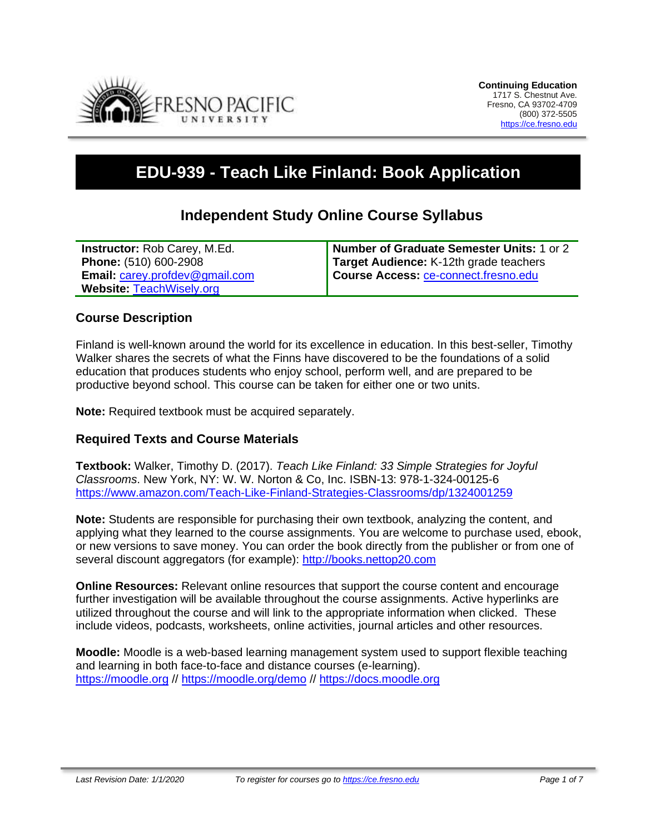

# **EDU-939 - Teach Like Finland: Book Application**

# **Independent Study Online Course Syllabus**

| <b>Instructor:</b> Rob Carey, M.Ed.   | Number of Graduate Semester Units: 1 or 2 |
|---------------------------------------|-------------------------------------------|
| <b>Phone: (510) 600-2908</b>          | Target Audience: K-12th grade teachers    |
| <b>Email: carey.profdev@gmail.com</b> | Course Access: ce-connect.fresno.edu      |
| <b>Website: TeachWisely.org</b>       |                                           |

#### **Course Description**

Finland is well-known around the world for its excellence in education. In this best-seller, Timothy Walker shares the secrets of what the Finns have discovered to be the foundations of a solid education that produces students who enjoy school, perform well, and are prepared to be productive beyond school. This course can be taken for either one or two units.

**Note:** Required textbook must be acquired separately.

#### **Required Texts and Course Materials**

**Textbook:** Walker, Timothy D. (2017). *Teach Like Finland: 33 Simple Strategies for Joyful Classrooms*. New York, NY: W. W. Norton & Co, Inc. ISBN-13: 978-1-324-00125-6 <https://www.amazon.com/Teach-Like-Finland-Strategies-Classrooms/dp/1324001259>

**Note:** Students are responsible for purchasing their own textbook, analyzing the content, and applying what they learned to the course assignments. You are welcome to purchase used, ebook, or new versions to save money. You can order the book directly from the publisher or from one of several discount aggregators (for example): [http://books.nettop20.com](http://books.nettop20.com/)

**Online Resources:** Relevant online resources that support the course content and encourage further investigation will be available throughout the course assignments. Active hyperlinks are utilized throughout the course and will link to the appropriate information when clicked. These include videos, podcasts, worksheets, online activities, journal articles and other resources.

**Moodle:** Moodle is a web-based learning management system used to support flexible teaching and learning in both face-to-face and distance courses (e-learning). [https://moodle.org](https://moodle.org/) // <https://moodle.org/demo> // [https://docs.moodle.org](https://docs.moodle.org/)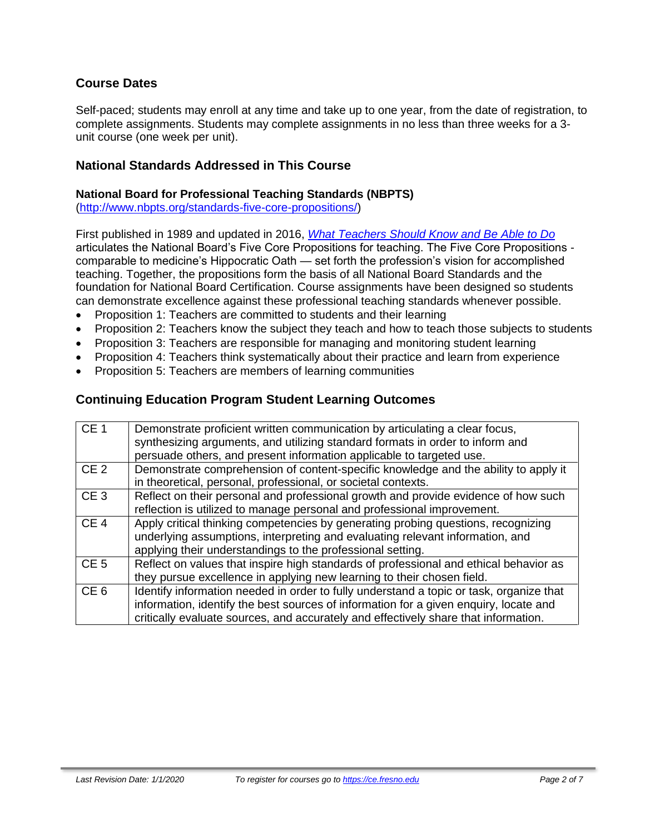# **Course Dates**

Self-paced; students may enroll at any time and take up to one year, from the date of registration, to complete assignments. Students may complete assignments in no less than three weeks for a 3 unit course (one week per unit).

### **National Standards Addressed in This Course**

#### **National Board for Professional Teaching Standards (NBPTS)**

[\(http://www.nbpts.org/standards-five-core-propositions/\)](http://www.nbpts.org/standards-five-core-propositions/)

First published in 1989 and updated in 2016, *[What Teachers Should Know and Be Able to Do](http://www.accomplishedteacher.org/)* articulates the National Board's Five Core Propositions for teaching. The Five Core Propositions comparable to medicine's Hippocratic Oath — set forth the profession's vision for accomplished teaching. Together, the propositions form the basis of all National Board Standards and the foundation for National Board Certification. Course assignments have been designed so students can demonstrate excellence against these professional teaching standards whenever possible.

- Proposition 1: Teachers are committed to students and their learning
- Proposition 2: Teachers know the subject they teach and how to teach those subjects to students
- Proposition 3: Teachers are responsible for managing and monitoring student learning
- Proposition 4: Teachers think systematically about their practice and learn from experience
- Proposition 5: Teachers are members of learning communities

#### **Continuing Education Program Student Learning Outcomes**

| CE <sub>1</sub> | Demonstrate proficient written communication by articulating a clear focus,<br>synthesizing arguments, and utilizing standard formats in order to inform and<br>persuade others, and present information applicable to targeted use.                                    |
|-----------------|-------------------------------------------------------------------------------------------------------------------------------------------------------------------------------------------------------------------------------------------------------------------------|
| CE <sub>2</sub> | Demonstrate comprehension of content-specific knowledge and the ability to apply it                                                                                                                                                                                     |
|                 |                                                                                                                                                                                                                                                                         |
|                 | in theoretical, personal, professional, or societal contexts.                                                                                                                                                                                                           |
| CE <sub>3</sub> | Reflect on their personal and professional growth and provide evidence of how such                                                                                                                                                                                      |
|                 | reflection is utilized to manage personal and professional improvement.                                                                                                                                                                                                 |
| CE <sub>4</sub> | Apply critical thinking competencies by generating probing questions, recognizing<br>underlying assumptions, interpreting and evaluating relevant information, and<br>applying their understandings to the professional setting.                                        |
| CE <sub>5</sub> | Reflect on values that inspire high standards of professional and ethical behavior as                                                                                                                                                                                   |
|                 | they pursue excellence in applying new learning to their chosen field.                                                                                                                                                                                                  |
| CE <sub>6</sub> | Identify information needed in order to fully understand a topic or task, organize that<br>information, identify the best sources of information for a given enquiry, locate and<br>critically evaluate sources, and accurately and effectively share that information. |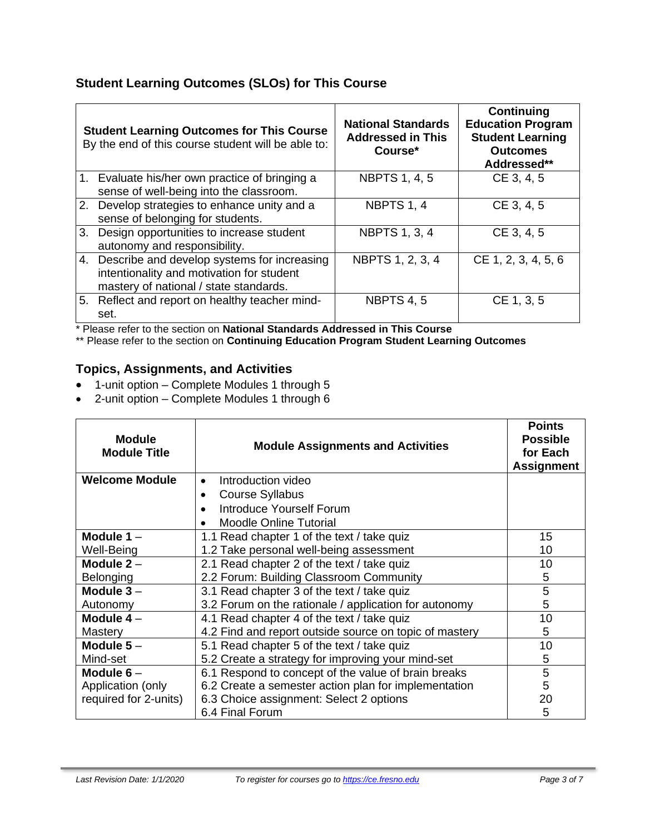# **Student Learning Outcomes (SLOs) for This Course**

| <b>Student Learning Outcomes for This Course</b><br>By the end of this course student will be able to:                                | <b>National Standards</b><br><b>Addressed in This</b><br>Course* | <b>Continuing</b><br><b>Education Program</b><br><b>Student Learning</b><br><b>Outcomes</b><br>Addressed** |
|---------------------------------------------------------------------------------------------------------------------------------------|------------------------------------------------------------------|------------------------------------------------------------------------------------------------------------|
| 1. Evaluate his/her own practice of bringing a<br>sense of well-being into the classroom.                                             | <b>NBPTS 1, 4, 5</b>                                             | CE 3, 4, 5                                                                                                 |
| 2. Develop strategies to enhance unity and a<br>sense of belonging for students.                                                      | NBPTS 1, 4                                                       | CE 3, 4, 5                                                                                                 |
| 3. Design opportunities to increase student<br>autonomy and responsibility.                                                           | <b>NBPTS 1, 3, 4</b>                                             | CE 3, 4, 5                                                                                                 |
| 4. Describe and develop systems for increasing<br>intentionality and motivation for student<br>mastery of national / state standards. | NBPTS 1, 2, 3, 4                                                 | CE 1, 2, 3, 4, 5, 6                                                                                        |
| 5. Reflect and report on healthy teacher mind-<br>set.                                                                                | <b>NBPTS 4, 5</b>                                                | CE 1, 3, 5                                                                                                 |

\* Please refer to the section on **National Standards Addressed in This Course**

\*\* Please refer to the section on **Continuing Education Program Student Learning Outcomes**

# **Topics, Assignments, and Activities**

- 1-unit option Complete Modules 1 through 5
- 2-unit option Complete Modules 1 through 6

| <b>Module</b><br><b>Module Title</b>                      | <b>Module Assignments and Activities</b>               | <b>Points</b><br><b>Possible</b><br>for Each<br><b>Assignment</b> |
|-----------------------------------------------------------|--------------------------------------------------------|-------------------------------------------------------------------|
| <b>Welcome Module</b>                                     | Introduction video                                     |                                                                   |
|                                                           | <b>Course Syllabus</b>                                 |                                                                   |
|                                                           | Introduce Yourself Forum                               |                                                                   |
|                                                           | <b>Moodle Online Tutorial</b>                          |                                                                   |
| Module $1 -$                                              | 1.1 Read chapter 1 of the text / take quiz             | 15                                                                |
| Well-Being                                                | 1.2 Take personal well-being assessment                | 10                                                                |
| Module $2 -$                                              | 2.1 Read chapter 2 of the text / take quiz             | 10                                                                |
| <b>Belonging</b>                                          | 2.2 Forum: Building Classroom Community                |                                                                   |
| Module $3 -$                                              | 3.1 Read chapter 3 of the text / take quiz             |                                                                   |
| Autonomy                                                  | 3.2 Forum on the rationale / application for autonomy  | 5                                                                 |
| Module $4-$                                               | 4.1 Read chapter 4 of the text / take quiz             | 10                                                                |
| Mastery                                                   | 4.2 Find and report outside source on topic of mastery | 5                                                                 |
| 5.1 Read chapter 5 of the text / take quiz<br>Module $5-$ |                                                        | 10                                                                |
| Mind-set                                                  | 5.2 Create a strategy for improving your mind-set      |                                                                   |
| Module $6-$                                               | 6.1 Respond to concept of the value of brain breaks    |                                                                   |
| Application (only                                         | 6.2 Create a semester action plan for implementation   |                                                                   |
| required for 2-units)                                     | 6.3 Choice assignment: Select 2 options                | 20                                                                |
|                                                           | 6.4 Final Forum                                        | 5                                                                 |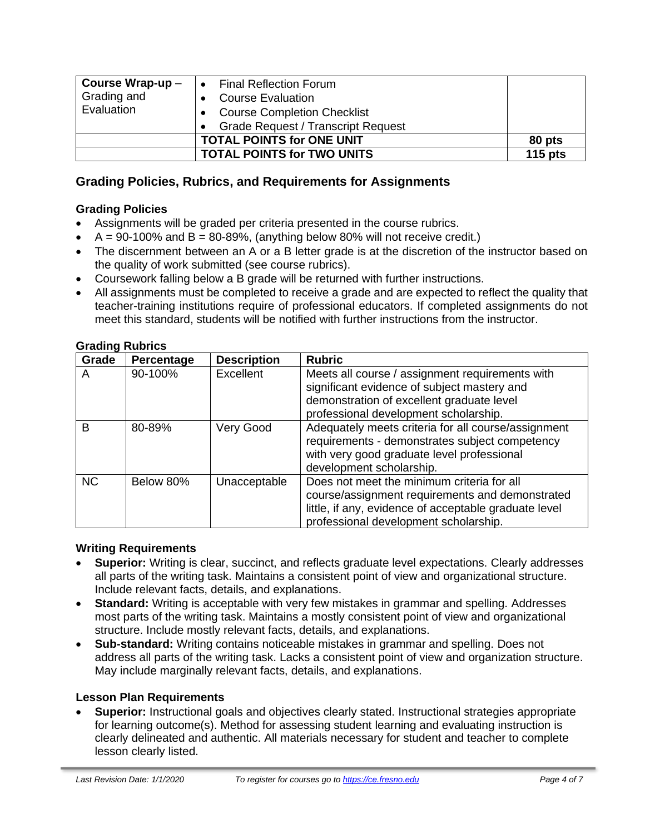| Course Wrap-up $-$<br>Grading and<br>Evaluation | <b>Final Reflection Forum</b><br><b>Course Evaluation</b><br><b>Course Completion Checklist</b><br><b>Grade Request / Transcript Request</b> |           |
|-------------------------------------------------|----------------------------------------------------------------------------------------------------------------------------------------------|-----------|
|                                                 | <b>TOTAL POINTS for ONE UNIT</b>                                                                                                             | 80 pts    |
|                                                 | <b>TOTAL POINTS for TWO UNITS</b>                                                                                                            | 115 $pts$ |

## **Grading Policies, Rubrics, and Requirements for Assignments**

#### **Grading Policies**

- Assignments will be graded per criteria presented in the course rubrics.
- $A = 90-100\%$  and  $B = 80-89\%$ , (anything below 80% will not receive credit.)
- The discernment between an A or a B letter grade is at the discretion of the instructor based on the quality of work submitted (see course rubrics).
- Coursework falling below a B grade will be returned with further instructions.
- All assignments must be completed to receive a grade and are expected to reflect the quality that teacher-training institutions require of professional educators. If completed assignments do not meet this standard, students will be notified with further instructions from the instructor.

| Grade     | Percentage | <b>Description</b> | <b>Rubric</b>                                         |
|-----------|------------|--------------------|-------------------------------------------------------|
| A         | 90-100%    | <b>Excellent</b>   | Meets all course / assignment requirements with       |
|           |            |                    | significant evidence of subject mastery and           |
|           |            |                    | demonstration of excellent graduate level             |
|           |            |                    | professional development scholarship.                 |
| B         | 80-89%     | Very Good          | Adequately meets criteria for all course/assignment   |
|           |            |                    | requirements - demonstrates subject competency        |
|           |            |                    | with very good graduate level professional            |
|           |            |                    | development scholarship.                              |
| <b>NC</b> | Below 80%  | Unacceptable       | Does not meet the minimum criteria for all            |
|           |            |                    | course/assignment requirements and demonstrated       |
|           |            |                    | little, if any, evidence of acceptable graduate level |
|           |            |                    | professional development scholarship.                 |

#### **Grading Rubrics**

#### **Writing Requirements**

- **Superior:** Writing is clear, succinct, and reflects graduate level expectations. Clearly addresses all parts of the writing task. Maintains a consistent point of view and organizational structure. Include relevant facts, details, and explanations.
- **Standard:** Writing is acceptable with very few mistakes in grammar and spelling. Addresses most parts of the writing task. Maintains a mostly consistent point of view and organizational structure. Include mostly relevant facts, details, and explanations.
- **Sub-standard:** Writing contains noticeable mistakes in grammar and spelling. Does not address all parts of the writing task. Lacks a consistent point of view and organization structure. May include marginally relevant facts, details, and explanations.

#### **Lesson Plan Requirements**

• **Superior:** Instructional goals and objectives clearly stated. Instructional strategies appropriate for learning outcome(s). Method for assessing student learning and evaluating instruction is clearly delineated and authentic. All materials necessary for student and teacher to complete lesson clearly listed.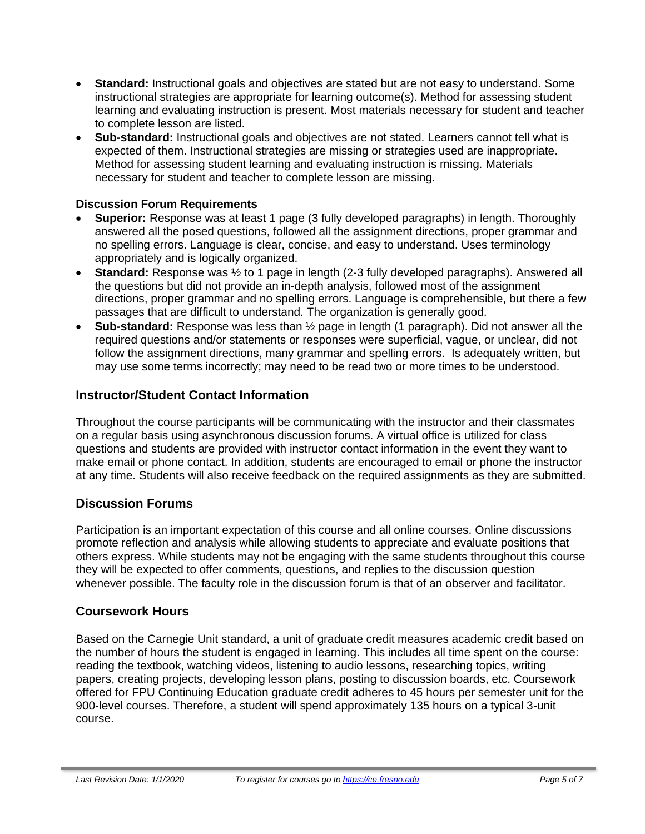- **Standard:** Instructional goals and objectives are stated but are not easy to understand. Some instructional strategies are appropriate for learning outcome(s). Method for assessing student learning and evaluating instruction is present. Most materials necessary for student and teacher to complete lesson are listed.
- **Sub-standard:** Instructional goals and objectives are not stated. Learners cannot tell what is expected of them. Instructional strategies are missing or strategies used are inappropriate. Method for assessing student learning and evaluating instruction is missing. Materials necessary for student and teacher to complete lesson are missing.

#### **Discussion Forum Requirements**

- **Superior:** Response was at least 1 page (3 fully developed paragraphs) in length. Thoroughly answered all the posed questions, followed all the assignment directions, proper grammar and no spelling errors. Language is clear, concise, and easy to understand. Uses terminology appropriately and is logically organized.
- **Standard:** Response was ½ to 1 page in length (2-3 fully developed paragraphs). Answered all the questions but did not provide an in-depth analysis, followed most of the assignment directions, proper grammar and no spelling errors. Language is comprehensible, but there a few passages that are difficult to understand. The organization is generally good.
- **Sub-standard:** Response was less than ½ page in length (1 paragraph). Did not answer all the required questions and/or statements or responses were superficial, vague, or unclear, did not follow the assignment directions, many grammar and spelling errors. Is adequately written, but may use some terms incorrectly; may need to be read two or more times to be understood.

# **Instructor/Student Contact Information**

Throughout the course participants will be communicating with the instructor and their classmates on a regular basis using asynchronous discussion forums. A virtual office is utilized for class questions and students are provided with instructor contact information in the event they want to make email or phone contact. In addition, students are encouraged to email or phone the instructor at any time. Students will also receive feedback on the required assignments as they are submitted.

## **Discussion Forums**

Participation is an important expectation of this course and all online courses. Online discussions promote reflection and analysis while allowing students to appreciate and evaluate positions that others express. While students may not be engaging with the same students throughout this course they will be expected to offer comments, questions, and replies to the discussion question whenever possible. The faculty role in the discussion forum is that of an observer and facilitator.

## **Coursework Hours**

Based on the Carnegie Unit standard, a unit of graduate credit measures academic credit based on the number of hours the student is engaged in learning. This includes all time spent on the course: reading the textbook, watching videos, listening to audio lessons, researching topics, writing papers, creating projects, developing lesson plans, posting to discussion boards, etc. Coursework offered for FPU Continuing Education graduate credit adheres to 45 hours per semester unit for the 900-level courses. Therefore, a student will spend approximately 135 hours on a typical 3-unit course.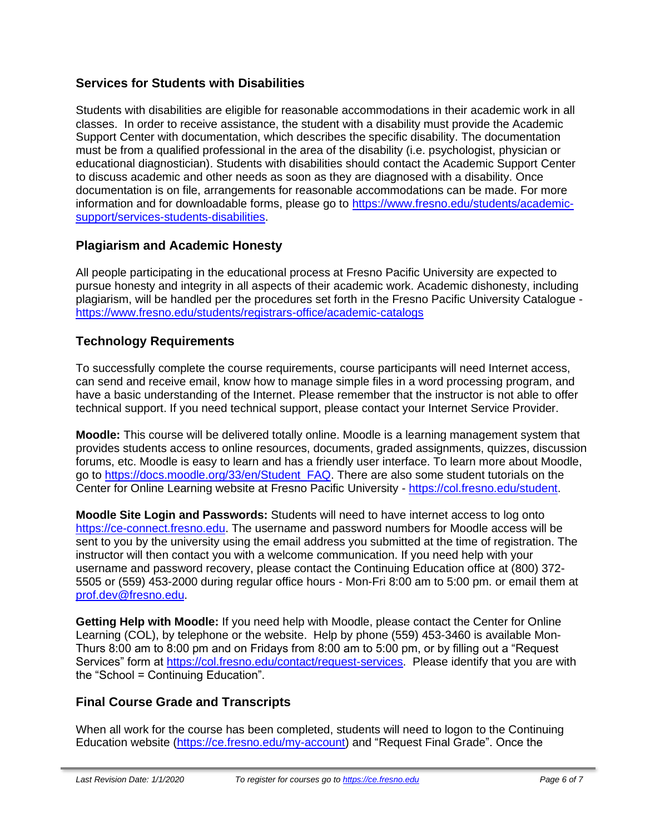# **Services for Students with Disabilities**

Students with disabilities are eligible for reasonable accommodations in their academic work in all classes. In order to receive assistance, the student with a disability must provide the Academic Support Center with documentation, which describes the specific disability. The documentation must be from a qualified professional in the area of the disability (i.e. psychologist, physician or educational diagnostician). Students with disabilities should contact the Academic Support Center to discuss academic and other needs as soon as they are diagnosed with a disability. Once documentation is on file, arrangements for reasonable accommodations can be made. For more information and for downloadable forms, please go to [https://www.fresno.edu/students/academic](https://www.fresno.edu/students/academic-support/services-students-disabilities)[support/services-students-disabilities.](https://www.fresno.edu/students/academic-support/services-students-disabilities)

# **Plagiarism and Academic Honesty**

All people participating in the educational process at Fresno Pacific University are expected to pursue honesty and integrity in all aspects of their academic work. Academic dishonesty, including plagiarism, will be handled per the procedures set forth in the Fresno Pacific University Catalogue <https://www.fresno.edu/students/registrars-office/academic-catalogs>

# **Technology Requirements**

To successfully complete the course requirements, course participants will need Internet access, can send and receive email, know how to manage simple files in a word processing program, and have a basic understanding of the Internet. Please remember that the instructor is not able to offer technical support. If you need technical support, please contact your Internet Service Provider.

**Moodle:** This course will be delivered totally online. Moodle is a learning management system that provides students access to online resources, documents, graded assignments, quizzes, discussion forums, etc. Moodle is easy to learn and has a friendly user interface. To learn more about Moodle, go to [https://docs.moodle.org/33/en/Student\\_FAQ.](https://docs.moodle.org/33/en/Student_FAQ) There are also some student tutorials on the Center for Online Learning website at Fresno Pacific University - [https://col.fresno.edu/student.](https://col.fresno.edu/student)

**Moodle Site Login and Passwords:** Students will need to have internet access to log onto [https://ce-connect.fresno.edu.](https://ce-connect.fresno.edu/) The username and password numbers for Moodle access will be sent to you by the university using the email address you submitted at the time of registration. The instructor will then contact you with a welcome communication. If you need help with your username and password recovery, please contact the Continuing Education office at (800) 372- 5505 or (559) 453-2000 during regular office hours - Mon-Fri 8:00 am to 5:00 pm. or email them at [prof.dev@fresno.edu.](mailto:prof.dev@fresno.edu)

**Getting Help with Moodle:** If you need help with Moodle, please contact the Center for Online Learning (COL), by telephone or the website. Help by phone (559) 453-3460 is available Mon-Thurs 8:00 am to 8:00 pm and on Fridays from 8:00 am to 5:00 pm, or by filling out a "Request Services" form at [https://col.fresno.edu/contact/request-services.](https://col.fresno.edu/contact/request-services) Please identify that you are with the "School = Continuing Education".

## **Final Course Grade and Transcripts**

When all work for the course has been completed, students will need to logon to the Continuing Education website [\(https://ce.fresno.edu/my-account\)](https://ce.fresno.edu/my-account) and "Request Final Grade". Once the